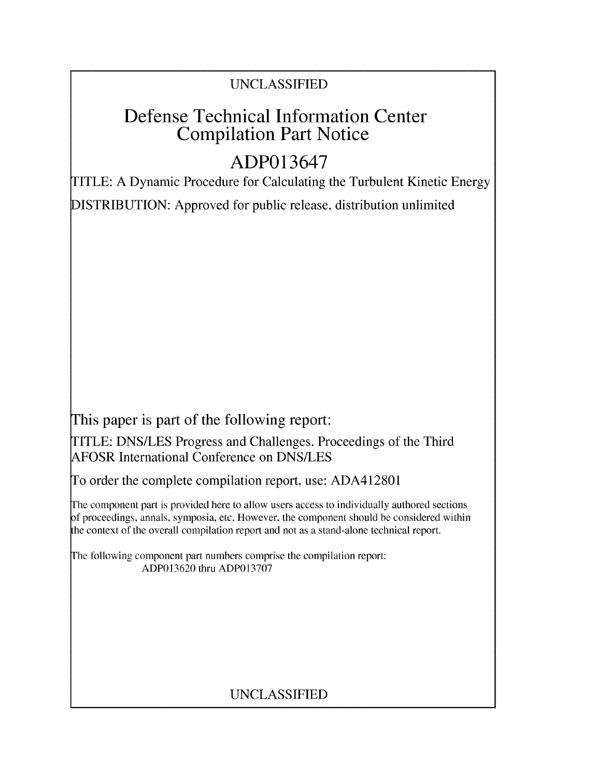# UNCLASSIFIED

# Defense Technical Information Center Compilation Part Notice

# **ADP013647**

TITLE: A Dynamic Procedure for Calculating the Turbulent Kinetic Energy DISTRIBUTION: Approved for public release, distribution unlimited

This paper is part of the following report:

TITLE: DNS/LES Progress and Challenges. Proceedings of the Third AFOSR International Conference on DNS/LES

To order the complete compilation report, use: ADA412801

The component part is provided here to allow users access to individually authored sections f proceedings, annals, symposia, etc. However, the component should be considered within the context of the overall compilation report and not as a stand-alone technical report.

The following component part numbers comprise the compilation report: ADP013620 thru ADP013707

# UNCLASSIFIED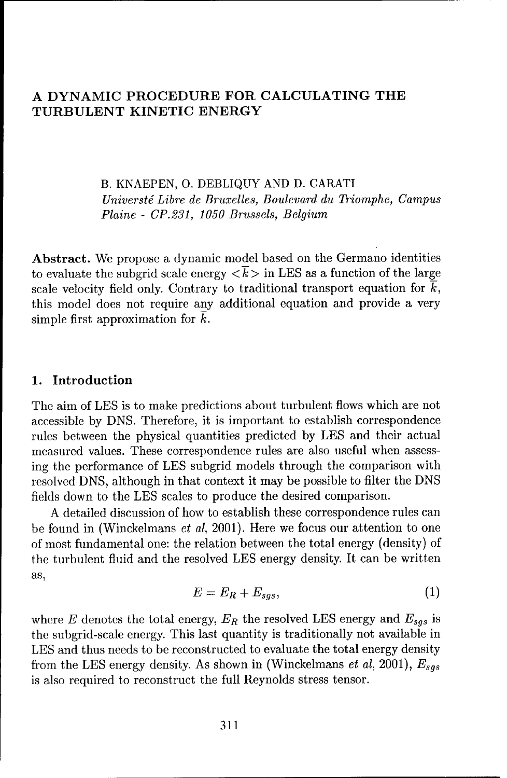## **A** DYNAMIC PROCEDURE FOR **CALCULATING** THE **TURBULENT KINETIC** ENERGY

B. KNAEPEN, **0.** DEBLIQUY AND D. CARATI *Universt6 Libre de Bruxelles,* Boulevard du Triomphe, Campus Plaine - *CP.231, 1050 Brussels, Belgium*

Abstract. We propose a dynamic model based on the Germano identities to evaluate the subgrid scale energy  $\langle \overline{k} \rangle$  in LES as a function of the large scale velocity field only. Contrary to traditional transport equation for  $\overline{k}$ , this model does not require any additional equation and provide a very simple first approximation for  $\bar{k}$ .

### **1.** Introduction

The aim of LES is to make predictions about turbulent flows which are not accessible by DNS. Therefore, it is important to establish correspondence rules between the physical quantities predicted by LES and their actual measured values. These correspondence rules are also useful when assessing the performance of **LES** subgrid models through the comparison with resolved DNS, although in that context it may be possible to filter the DNS fields down to the **LES** scales to produce the desired comparison.

A detailed discussion of how to establish these correspondence rules can be found in (Winckelmans et al, 2001). Here we focus our attention to one of most fundamental one: the relation between the total energy (density) of the turbulent fluid and the resolved LES energy density. It can be written as,

$$
E = E_R + E_{sgs},\tag{1}
$$

where E denotes the total energy,  $E_R$  the resolved LES energy and  $E_{sgs}$  is the subgrid-scale energy. This last quantity is traditionally not available in **LES** and thus needs to be reconstructed to evaluate the total energy density from the LES energy density. As shown in (Winckelmans et al, 2001),  $E_{sgs}$ is also required to reconstruct the full Reynolds stress tensor.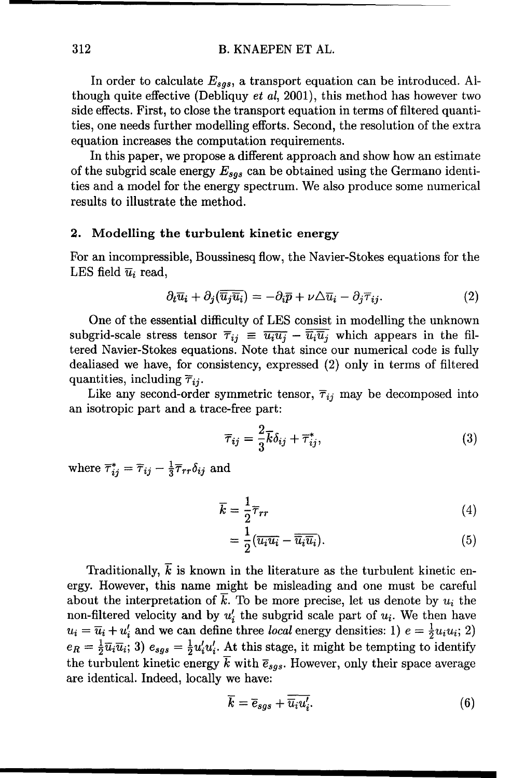#### 312 B. KNAEPEN ET AL.

In order to calculate  $E_{sqs}$ , a transport equation can be introduced. Although quite effective (Debliquy et al, 2001), this method has however two side effects. First, to close the transport equation in terms of filtered quantities, one needs further modelling efforts. Second, the resolution of the extra equation increases the computation requirements.

In this paper, we propose a different approach and show how an estimate of the subgrid scale energy  $E_{sgs}$  can be obtained using the Germano identities and a model for the energy spectrum. We also produce some numerical results to illustrate the method.

#### 2. Modelling the turbulent kinetic energy

For an incompressible, Boussinesq flow, the Navier-Stokes equations for the LES field  $\overline{u}_i$  read,

$$
\partial_t \overline{u}_i + \partial_j(\overline{\overline{u}_j}\overline{\overline{u}_i}) = -\partial_i \overline{p} + \nu \triangle \overline{u}_i - \partial_j \overline{\tau}_{ij}.
$$
 (2)

One of the essential difficulty of LES consist in modelling the unknown subgrid-scale stress tensor  $\overline{\tau}_{ij} \equiv \overline{u_i u_j} - \overline{\overline{u_i u_j}}$  which appears in the filtered Navier-Stokes equations. Note that since our numerical code is fully dealiased we have, for consistency, expressed (2) only in terms of filtered quantities, including  $\overline{\tau}_{ij}$ .

Like any second-order symmetric tensor,  $\overline{r}_{ij}$  may be decomposed into an isotropic part and a trace-free part:

$$
\overline{\tau}_{ij} = \frac{2}{3}\overline{k}\delta_{ij} + \overline{\tau}_{ij}^*,\tag{3}
$$

where  $\overline{\tau}_{ij}^* = \overline{\tau}_{ij} - \frac{1}{3}\overline{\tau}_{rr}\delta_{ij}$  and

$$
\overline{k} = \frac{1}{2}\overline{\tau}_{rr} \tag{4}
$$

$$
=\frac{1}{2}(\overline{u_i}\overline{u_i}-\overline{\overline{u_i}}\overline{u_i}).
$$
\n(5)

Traditionally,  $\vec{k}$  is known in the literature as the turbulent kinetic energy. However, this name might be misleading and one must be careful about the interpretation of  $k$ . To be more precise, let us denote by  $u_i$  the non-filtered velocity and by  $u'_i$  the subgrid scale part of  $u_i$ . We then have  $u_i = \overline{u}_i + u'_i$  and we can define three local energy densities: 1)  $e = \frac{1}{2}u_iu_i$ ; 2)  $e_R = \frac{1}{2} \overline{u}_i \overline{u}_i$ ; 3)  $e_{sgs} = \frac{1}{2} u'_i u'_i$ . At this stage, it might be tempting to identify the turbulent kinetic energy  $\overline{k}$  with  $\overline{e}_{sqs}$ . However, only their space average are identical. Indeed, locally we have:

$$
\overline{k} = \overline{e}_{sgs} + \overline{\overline{u_i} u_i'}.
$$
\n(6)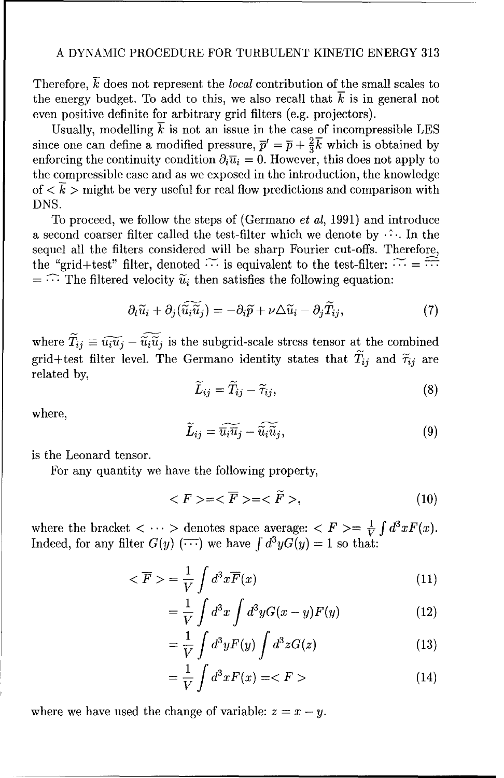#### A DYNAMIC PROCEDURE FOR TURBULENT KINETIC ENERGY 313

Therefore,  $\vec{k}$  does not represent the *local* contribution of the small scales to the energy budget. To add to this, we also recall that *k* is in general not even positive definite for arbitrary grid filters (e.g. projectors).

Usually, modelling  $\overline{k}$  is not an issue in the case of incompressible LES since one can define a modified pressure,  $\bar{p}' = \bar{p} + \frac{2}{3}\bar{k}$  which is obtained by enforcing the continuity condition  $\partial_i \overline{u}_i = 0$ . However, this does not apply to the compressible case and as we exposed in the introduction, the knowledge of  $\langle k \rangle$  might be very useful for real flow predictions and comparison with DNS.

To proceed, we follow the steps of (Germano et al, 1991) and introduce a second coarser filter called the test-filter which we denote by  $\cdots$ . In the sequel all the filters considered will be sharp Fourier cut-offs. Therefore, the "grid+test" filter, denoted  $\widetilde{\cdots}$  is equivalent to the test-filter:  $\widetilde{\cdots} = \widehat{\cdots}$  $=$   $\widehat{\cdots}$  The filtered velocity  $\widetilde{u}_i$  then satisfies the following equation:

$$
\partial_t \widetilde{u}_i + \partial_j(\widetilde{\widetilde{u}_i \widetilde{u}_j}) = -\partial_i \widetilde{p} + \nu \triangle \widetilde{u}_i - \partial_j \widetilde{T}_{ij},\tag{7}
$$

where  $\widetilde{T}_{ij} \equiv \widetilde{u_i u_j} - \widetilde{\widetilde{u_i} u_j}$  is the subgrid-scale stress tensor at the combined grid+test filter level. The Germano identity states that  $\widetilde{T}_{ij}$  and  $\widetilde{\tau}_{ij}$  are related by,

$$
\widetilde{L}_{ij} = \widetilde{T}_{ij} - \widetilde{\tau}_{ij},\tag{8}
$$

where,

$$
\widetilde{L}_{ij} = \widetilde{\overline{u_i}\widetilde{u}_j} - \widetilde{\widetilde{u_i}\widetilde{u}_j},\tag{9}
$$

is the Leonard tensor.

For any quantity we have the following property,

$$
\langle F \rangle = \langle \overline{F} \rangle = \langle \widetilde{F} \rangle, \tag{10}
$$

where the bracket  $\langle \cdots \rangle$  denotes space average:  $\langle F \rangle = \frac{1}{V} \int d^3x F(x)$ . Indeed, for any filter  $G(y)$  (...) we have  $\int d^3y G(y) = 1$  so that:

$$
\langle \overline{F} \rangle = \frac{1}{V} \int d^3x \overline{F}(x) \tag{11}
$$

$$
=\frac{1}{V}\int d^3x\int d^3y G(x-y)F(y)\tag{12}
$$

$$
=\frac{1}{V}\int d^3y F(y)\int d^3z G(z)\tag{13}
$$

$$
=\frac{1}{V}\int d^3x F(x) = \langle F \rangle \tag{14}
$$

where we have used the change of variable:  $z = x - y$ .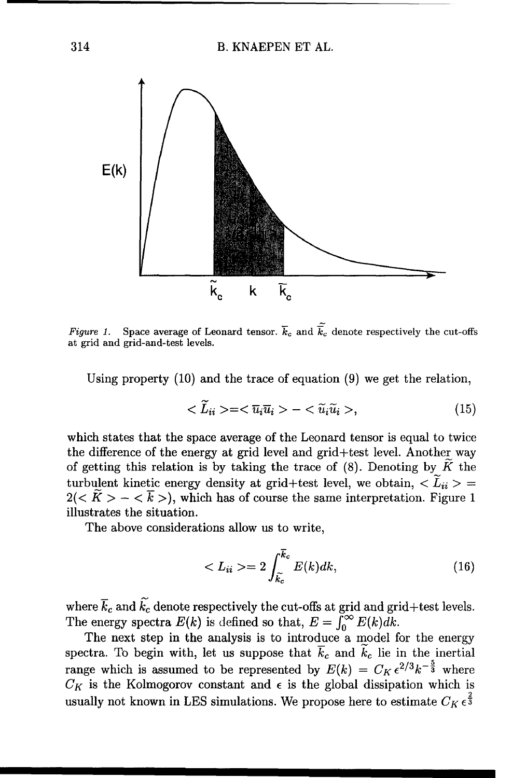

Figure 1. Space average of Leonard tensor.  $\vec{k}_c$  and  $\tilde{\vec{k}_c}$  denote respectively the cut-offs at grid and grid-and-test levels.

Using property (10) and the trace of equation (9) we get the relation,

$$
\langle \widetilde{L}_{ii} \rangle = \langle \overline{u}_i \overline{u}_i \rangle - \langle \widetilde{u}_i \widetilde{u}_i \rangle, \tag{15}
$$

which states that the space average of the Leonard tensor is equal to twice the difference of the energy at grid level and grid+test level. Another way of getting this relation is by taking the trace of  $(8)$ . Denoting by  $\widetilde{K}$  the turbulent kinetic energy density at grid+test level, we obtain,  $\langle \tilde{L}_{ii} \rangle =$  $2( $\tilde{K}> - <\overline{k}$ ), which has of course the same interpretation. Figure 1$ illustrates the situation.

The above considerations allow us to write,

$$
\langle L_{ii}\rangle = 2\int_{\tilde{k_c}}^{\overline{k_c}} E(k)dk,
$$
\n(16)

where  $\overline{k}_c$  and  $\overline{k}_c$  denote respectively the cut-offs at grid and grid+test levels. The energy spectra  $E(k)$  is defined so that,  $E = \int_{0}^{\infty} E(k)dk$ .

The next step in the analysis is to introduce a model for the energy spectra. To begin with, let us suppose that  $\overline{k}_c$  and  $k_c$  lie in the inertial range which is assumed to be represented by  $E(k) = C_K \epsilon^{2/3} k^{-\frac{3}{3}}$  where  $C_K$  is the Kolmogorov constant and  $\epsilon$  is the global dissipation which is usually not known in LES simulations. We propose here to estimate  $C_K \epsilon^{\frac{2}{3}}$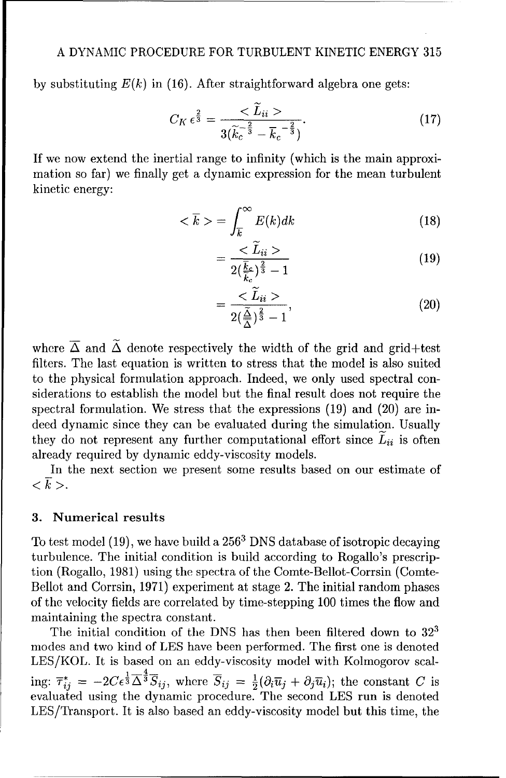by substituting  $E(k)$  in (16). After straightforward algebra one gets:

$$
C_K \epsilon^{\frac{2}{3}} = \frac{<\widetilde{L}_{ii}>}{3(\widetilde{k}_c^{-\frac{2}{3}} - \overline{k}_c^{-\frac{2}{3}})}.
$$
 (17)

If we now extend the inertial range to infinity (which is the main approximation so far) we finally get a dynamic expression for the mean turbulent kinetic energy:

$$
\langle \overline{k} \rangle = \int_{\overline{k}}^{\infty} E(k) dk \tag{18}
$$

$$
=\frac{}{2(\frac{\bar{k}_c}{\bar{k}})^{\frac{2}{3}}-1}
$$
(19)

$$
=\frac{\langle \tilde{L}_{ii} \rangle}{2(\frac{\tilde{\Delta}}{\Delta})^{\frac{2}{3}}-1},\tag{20}
$$

where  $\overline{\Delta}$  and  $\tilde{\Delta}$  denote respectively the width of the grid and grid+test filters. The last equation is written to stress that the model is also suited to the physical formulation approach. Indeed, we only used spectral considerations to establish the model but the final result does not require the spectral formulation. We stress that the expressions (19) and (20) are indeed dynamic since they can be evaluated during the simulation. Usually they do not represent any further computational effort since  $\tilde{L}_{ii}$  is often already required by dynamic eddy-viscosity models.

In the next section we present some results based on our estimate of  $\langle \bar{k} \rangle$ .

## **3.** Numerical results

To test model (19), we have build a 2563 DNS database of isotropic decaying turbulence. The initial condition is build according to Rogallo's prescription (Rogallo, 1981) using the spectra of the Comte-Bellot-Corrsin (Comte-Bellot and Corrsin, 1971) experiment at stage 2. The initial random phases of the velocity fields are correlated by time-stepping 100 times the flow and maintaining the spectra constant.

The initial condition of the DNS has then been filtered down to **32'** modes and two kind of LES have been performed. The first one is denoted LES/KOL. It is based on an eddy-viscosity model with Kolmogorov scal- $\lim_{i \to \infty} \overline{\tau}_{ii}^* = -2C\epsilon^{\frac{1}{3}}\overline{\Delta}^{\frac{4}{3}}\overline{S}_{ii}$ , where  $\overline{S}_{ii} = \frac{1}{2}(\partial_i\overline{u}_i + \partial_i\overline{u}_i)$ ; the constant C is evaluated using the dynamic procedure. The second **LES** run is denoted LES/Transport. It is also based an eddy-viscosity model but this time, the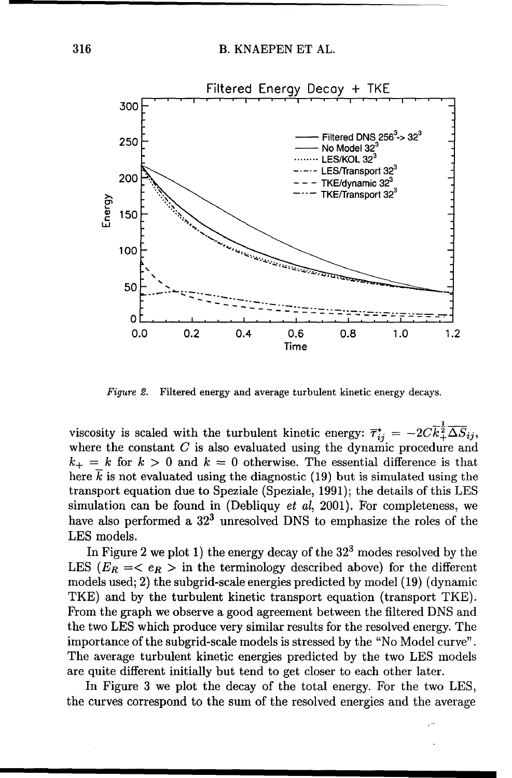

Figure 2. Filtered energy and average turbulent kinetic energy decays.

viscosity is scaled with the turbulent kinetic energy:  $\overline{\tau}_{ii}^{*} = -2C\overline{k}_{\perp}^{\frac{1}{2}}\overline{\Delta S}_{ii}$ where the constant  $C$  is also evaluated using the dynamic procedure and  $k_{+} = k$  for  $k > 0$  and  $k = 0$  otherwise. The essential difference is that here  $k$  is not evaluated using the diagnostic (19) but is simulated using the transport equation due to Speziale (Speziale, 1991); the details of this **LES** simulation can be found in (Debliquy  $et$   $al$ , 2001). For completeness, we have also performed a **323** unresolved DNS to emphasize the roles of the **LES** models.

In Figure 2 we plot 1) the energy decay of the **323** modes resolved by the LES  $(E_R \leq \epsilon_R >$  in the terminology described above) for the different models used; 2) the subgrid-scale energies predicted by model (19) (dynamic TKE) and by the turbulent kinetic transport equation (transport TKE). From the graph we observe a good agreement between the filtered DNS and the two **LES** which produce very similar results for the resolved energy. The importance of the subgrid-scale models is stressed by the "No Model curve". The average turbulent kinetic energies predicted by the two LES models are quite different initially but tend to get closer to each other later.

In Figure 3 we plot the decay of the total energy. For the two LES, the curves correspond to the sum of the resolved energies and the average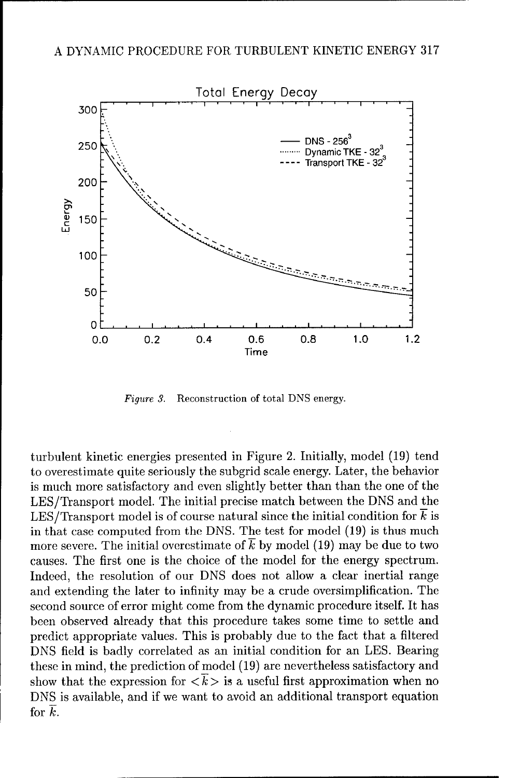

*Figure 3.* Reconstruction of total DNS energy.

turbulent kinetic energies presented in Figure 2. Initially, model (19) tend to overestimate quite seriously the subgrid scale energy. Later, the behavior is much more satisfactory and even slightly better than than the one of the LES/Transport model. The initial precise match between the DNS and the LES/Transport model is of course natural since the initial condition for  $\bar{k}$  is in that case computed from the DNS. The test for model (19) is thus much more severe. The initial overestimate of  $\overline{k}$  by model (19) may be due to two causes. The first one is the choice of the model for the energy spectrum. Indeed, the resolution of our DNS does not allow a clear inertial range and extending the later to infinity may be a crude oversimplification. The second source of error might come from the dynamic procedure itself. It has been observed already that this procedure takes some time to settle and predict appropriate values. This is probably due to the fact that a filtered DNS field is badly correlated as an initial condition for an LES. Bearing these in mind, the prediction of model (19) are nevertheless satisfactory and show that the expression for  $\langle \overline{k} \rangle$  is a useful first approximation when no DNS is available, and if we want to avoid an additional transport equation for  $\overline{k}$ .